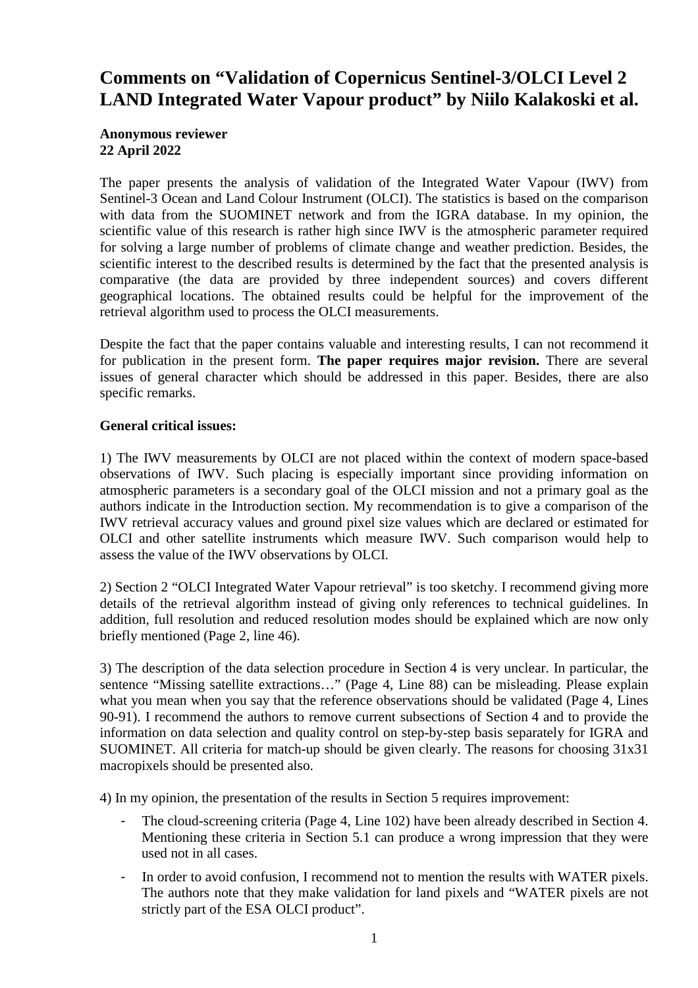## **Comments on "Validation of Copernicus Sentinel-3/OLCI Level 2 LAND Integrated Water Vapour product" by Niilo Kalakoski et al.**

## **Anonymous reviewer 22 April 2022**

The paper presents the analysis of validation of the Integrated Water Vapour (IWV) from Sentinel-3 Ocean and Land Colour Instrument (OLCI). The statistics is based on the comparison with data from the SUOMINET network and from the IGRA database. In my opinion, the scientific value of this research is rather high since IWV is the atmospheric parameter required for solving a large number of problems of climate change and weather prediction. Besides, the scientific interest to the described results is determined by the fact that the presented analysis is comparative (the data are provided by three independent sources) and covers different geographical locations. The obtained results could be helpful for the improvement of the retrieval algorithm used to process the OLCI measurements.

Despite the fact that the paper contains valuable and interesting results, I can not recommend it for publication in the present form. **The paper requires major revision.** There are several issues of general character which should be addressed in this paper. Besides, there are also specific remarks.

## **General critical issues:**

1) The IWV measurements by OLCI are not placed within the context of modern space-based observations of IWV. Such placing is especially important since providing information on atmospheric parameters is a secondary goal of the OLCI mission and not a primary goal as the authors indicate in the Introduction section. My recommendation is to give a comparison of the IWV retrieval accuracy values and ground pixel size values which are declared or estimated for OLCI and other satellite instruments which measure IWV. Such comparison would help to assess the value of the IWV observations by OLCI.

2) Section 2 "OLCI Integrated Water Vapour retrieval" is too sketchy. I recommend giving more details of the retrieval algorithm instead of giving only references to technical guidelines. In addition, full resolution and reduced resolution modes should be explained which are now only briefly mentioned (Page 2, line 46).

3) The description of the data selection procedure in Section 4 is very unclear. In particular, the sentence "Missing satellite extractions..." (Page 4, Line 88) can be misleading. Please explain what you mean when you say that the reference observations should be validated (Page 4, Lines 90-91). I recommend the authors to remove current subsections of Section 4 and to provide the information on data selection and quality control on step-by-step basis separately for IGRA and SUOMINET. All criteria for match-up should be given clearly. The reasons for choosing 31x31 macropixels should be presented also.

4) In my opinion, the presentation of the results in Section 5 requires improvement:

- The cloud-screening criteria (Page 4, Line 102) have been already described in Section 4. Mentioning these criteria in Section 5.1 can produce a wrong impression that they were used not in all cases.
- In order to avoid confusion, I recommend not to mention the results with WATER pixels. The authors note that they make validation for land pixels and "WATER pixels are not strictly part of the ESA OLCI product".